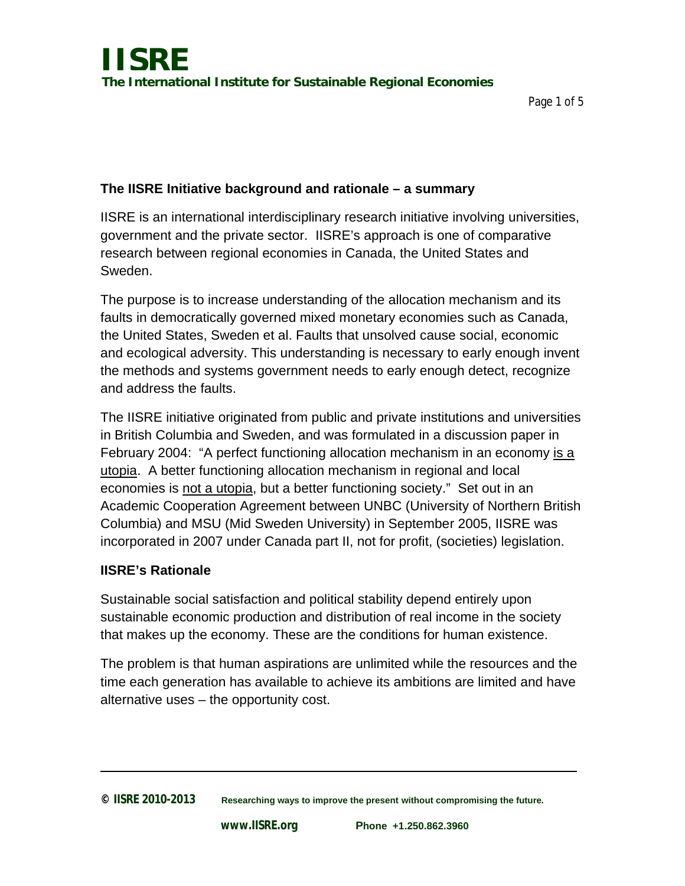### **The IISRE Initiative background and rationale – a summary**

IISRE is an international interdisciplinary research initiative involving universities, government and the private sector. IISRE's approach is one of comparative research between regional economies in Canada, the United States and Sweden.

The purpose is to increase understanding of the allocation mechanism and its faults in democratically governed mixed monetary economies such as Canada, the United States, Sweden et al. Faults that unsolved cause social, economic and ecological adversity. This understanding is necessary to early enough invent the methods and systems government needs to early enough detect, recognize and address the faults.

The IISRE initiative originated from public and private institutions and universities in British Columbia and Sweden, and was formulated in a discussion paper in February 2004: "A perfect functioning allocation mechanism in an economy is a utopia. A better functioning allocation mechanism in regional and local economies is not a utopia, but a better functioning society." Set out in an Academic Cooperation Agreement between UNBC (University of Northern British Columbia) and MSU (Mid Sweden University) in September 2005, IISRE was incorporated in 2007 under Canada part II, not for profit, (societies) legislation.

#### **IISRE's Rationale**

Sustainable social satisfaction and political stability depend entirely upon sustainable economic production and distribution of real income in the society that makes up the economy. These are the conditions for human existence.

The problem is that human aspirations are unlimited while the resources and the time each generation has available to achieve its ambitions are limited and have alternative uses – the opportunity cost.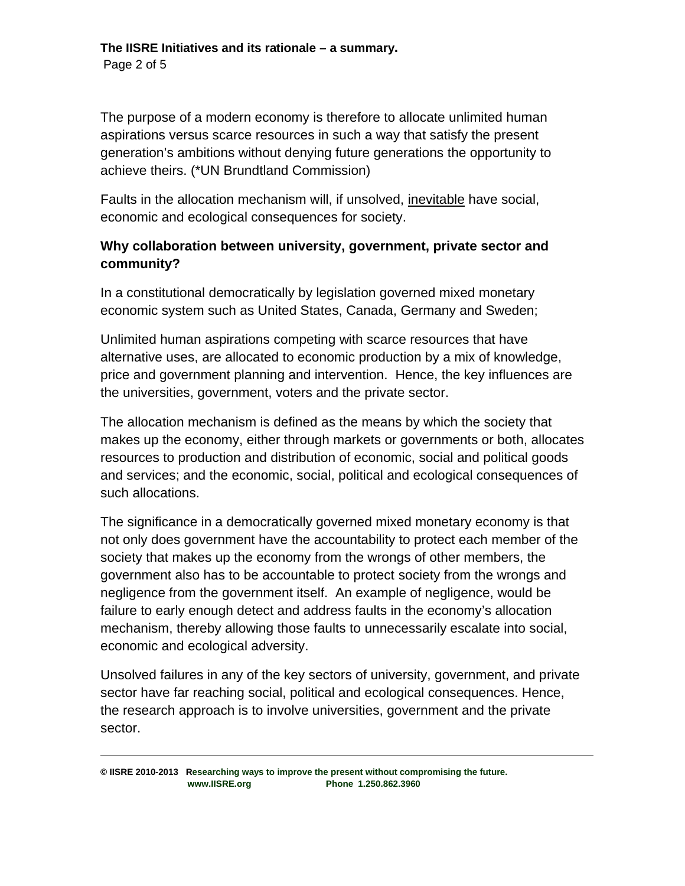The purpose of a modern economy is therefore to allocate unlimited human aspirations versus scarce resources in such a way that satisfy the present generation's ambitions without denying future generations the opportunity to achieve theirs. (\*UN Brundtland Commission)

Faults in the allocation mechanism will, if unsolved, inevitable have social, economic and ecological consequences for society.

## **Why collaboration between university, government, private sector and community?**

In a constitutional democratically by legislation governed mixed monetary economic system such as United States, Canada, Germany and Sweden;

Unlimited human aspirations competing with scarce resources that have alternative uses, are allocated to economic production by a mix of knowledge, price and government planning and intervention. Hence, the key influences are the universities, government, voters and the private sector.

The allocation mechanism is defined as the means by which the society that makes up the economy, either through markets or governments or both, allocates resources to production and distribution of economic, social and political goods and services; and the economic, social, political and ecological consequences of such allocations.

The significance in a democratically governed mixed monetary economy is that not only does government have the accountability to protect each member of the society that makes up the economy from the wrongs of other members, the government also has to be accountable to protect society from the wrongs and negligence from the government itself. An example of negligence, would be failure to early enough detect and address faults in the economy's allocation mechanism, thereby allowing those faults to unnecessarily escalate into social, economic and ecological adversity.

Unsolved failures in any of the key sectors of university, government, and private sector have far reaching social, political and ecological consequences. Hence, the research approach is to involve universities, government and the private sector.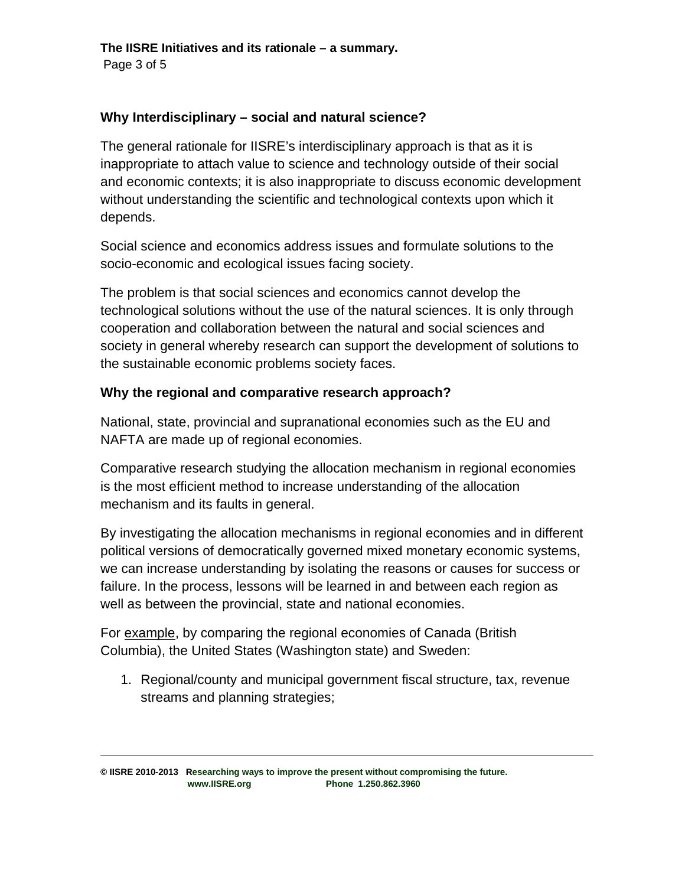#### **Why Interdisciplinary – social and natural science?**

The general rationale for IISRE's interdisciplinary approach is that as it is inappropriate to attach value to science and technology outside of their social and economic contexts; it is also inappropriate to discuss economic development without understanding the scientific and technological contexts upon which it depends.

Social science and economics address issues and formulate solutions to the socio-economic and ecological issues facing society.

The problem is that social sciences and economics cannot develop the technological solutions without the use of the natural sciences. It is only through cooperation and collaboration between the natural and social sciences and society in general whereby research can support the development of solutions to the sustainable economic problems society faces.

#### **Why the regional and comparative research approach?**

National, state, provincial and supranational economies such as the EU and NAFTA are made up of regional economies.

Comparative research studying the allocation mechanism in regional economies is the most efficient method to increase understanding of the allocation mechanism and its faults in general.

By investigating the allocation mechanisms in regional economies and in different political versions of democratically governed mixed monetary economic systems, we can increase understanding by isolating the reasons or causes for success or failure. In the process, lessons will be learned in and between each region as well as between the provincial, state and national economies.

For example, by comparing the regional economies of Canada (British Columbia), the United States (Washington state) and Sweden:

1. Regional/county and municipal government fiscal structure, tax, revenue streams and planning strategies;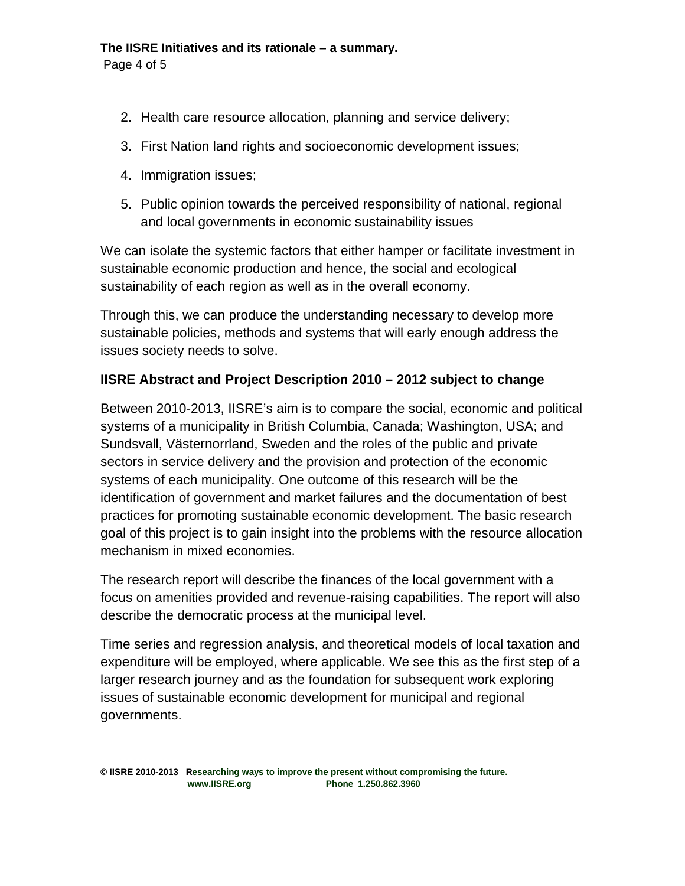Page 4 of 5

- 2. Health care resource allocation, planning and service delivery;
- 3. First Nation land rights and socioeconomic development issues;
- 4. Immigration issues;
- 5. Public opinion towards the perceived responsibility of national, regional and local governments in economic sustainability issues

We can isolate the systemic factors that either hamper or facilitate investment in sustainable economic production and hence, the social and ecological sustainability of each region as well as in the overall economy.

Through this, we can produce the understanding necessary to develop more sustainable policies, methods and systems that will early enough address the issues society needs to solve.

# **IISRE Abstract and Project Description 2010 – 2012 subject to change**

Between 2010-2013, IISRE's aim is to compare the social, economic and political systems of a municipality in British Columbia, Canada; Washington, USA; and Sundsvall, Västernorrland, Sweden and the roles of the public and private sectors in service delivery and the provision and protection of the economic systems of each municipality. One outcome of this research will be the identification of government and market failures and the documentation of best practices for promoting sustainable economic development. The basic research goal of this project is to gain insight into the problems with the resource allocation mechanism in mixed economies.

The research report will describe the finances of the local government with a focus on amenities provided and revenue-raising capabilities. The report will also describe the democratic process at the municipal level.

Time series and regression analysis, and theoretical models of local taxation and expenditure will be employed, where applicable. We see this as the first step of a larger research journey and as the foundation for subsequent work exploring issues of sustainable economic development for municipal and regional governments.